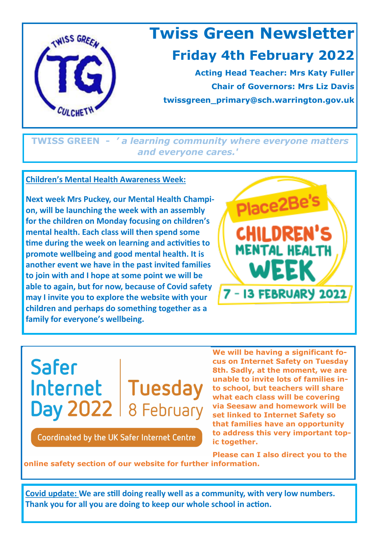

**TWISS GREEN -** *' a learning community where everyone matters and everyone cares.'*

## **Children's Mental Health Awareness Week:**

**Next week Mrs Puckey, our Mental Health Champion, will be launching the week with an assembly for the children on Monday focusing on children's mental health. Each class will then spend some time during the week on learning and activities to promote wellbeing and good mental health. It is another event we have in the past invited families to join with and I hope at some point we will be able to again, but for now, because of Covid safety may I invite you to explore the website with your children and perhaps do something together as a family for everyone's wellbeing.**



**Safer** Internet | Tuesday Day  $2022$  | 8 February

Coordinated by the UK Safer Internet Centre

**We will be having a significant focus on Internet Safety on Tuesday 8th. Sadly, at the moment, we are unable to invite lots of families into school, but teachers will share what each class will be covering via Seesaw and homework will be set linked to Internet Safety so that families have an opportunity to address this very important topic together.** 

**Please can I also direct you to the** 

**online safety section of our website for further information.**

**Covid update: We are still doing really well as a community, with very low numbers. Thank you for all you are doing to keep our whole school in action.**